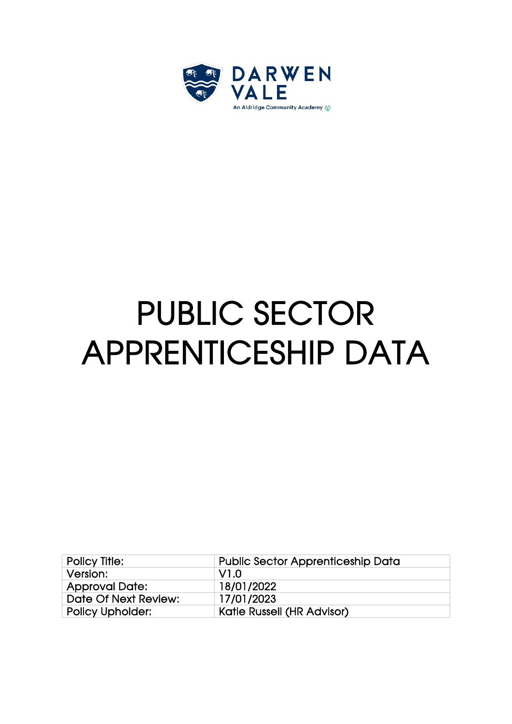

## PUBLIC SECTOR APPRENTICESHIP DATA

| <b>Policy Title:</b>    | <b>Public Sector Apprenticeship Data</b> |
|-------------------------|------------------------------------------|
| Version:                | -V1.0                                    |
| <b>Approval Date:</b>   | 18/01/2022                               |
| Date Of Next Review:    | 17/01/2023                               |
| <b>Policy Upholder:</b> | <b>Katie Russell (HR Advisor)</b>        |